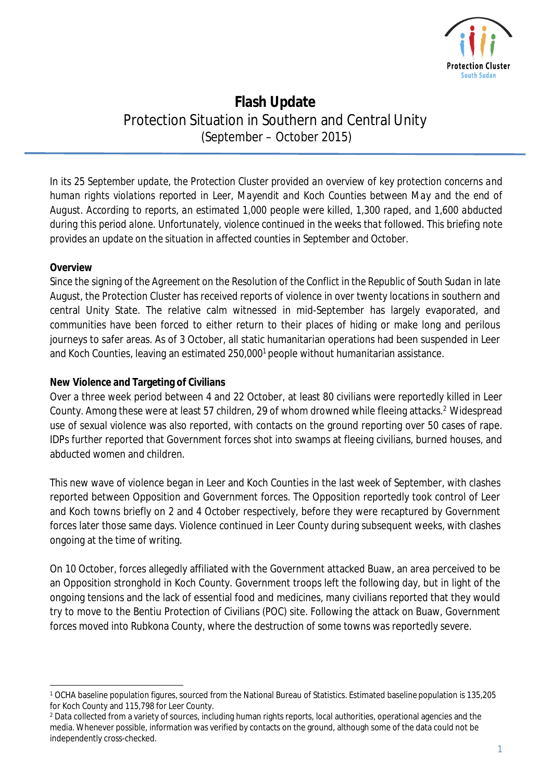

# **Flash Update** Protection Situation in Southern and Central Unity (September – October 2015)

*In its 25 September update, the Protection Cluster provided an overview of key protection concerns and human rights violations reported in Leer, Mayendit and Koch Counties between May and the end of August. According to reports, an estimated 1,000 people were killed, 1,300 raped, and 1,600 abducted during this period alone. Unfortunately, violence continued in the weeks that followed. This briefing note provides an update on the situation in affected counties in September and October.* 

## **Overview**

Since the signing of the *Agreement on the Resolution of the Conflict in the Republic of South Sudan* in late August, the Protection Cluster has received reports of violence in over twenty locations in southern and central Unity State. The relative calm witnessed in mid-September has largely evaporated, and communities have been forced to either return to their places of hiding or make long and perilous journeys to safer areas. As of 3 October, all static humanitarian operations had been suspended in Leer and Koch Counties, leaving an estimated 250,000<sup>1</sup> people without humanitarian assistance.

## **New Violence and Targeting of Civilians**

Over a three week period between 4 and 22 October, at least 80 civilians were reportedly killed in Leer County. Among these were at least 57 children, 29 of whom drowned while fleeing attacks.<sup>2</sup> Widespread use of sexual violence was also reported, with contacts on the ground reporting over 50 cases of rape. IDPs further reported that Government forces shot into swamps at fleeing civilians, burned houses, and abducted women and children.

This new wave of violence began in Leer and Koch Counties in the last week of September, with clashes reported between Opposition and Government forces. The Opposition reportedly took control of Leer and Koch towns briefly on 2 and 4 October respectively, before they were recaptured by Government forces later those same days. Violence continued in Leer County during subsequent weeks, with clashes ongoing at the time of writing.

On 10 October, forces allegedly affiliated with the Government attacked Buaw, an area perceived to be an Opposition stronghold in Koch County. Government troops left the following day, but in light of the ongoing tensions and the lack of essential food and medicines, many civilians reported that they would try to move to the Bentiu Protection of Civilians (POC) site. Following the attack on Buaw, Government forces moved into Rubkona County, where the destruction of some towns was reportedly severe.

 $\overline{a}$ <sup>1</sup> OCHA baseline population figures, sourced from the National Bureau of Statistics. Estimated baseline population is 135,205 for Koch County and 115,798 for Leer County.

<sup>&</sup>lt;sup>2</sup> Data collected from a variety of sources, including human rights reports, local authorities, operational agencies and the media. Whenever possible, information was verified by contacts on the ground, although some of the data could not be independently cross-checked.